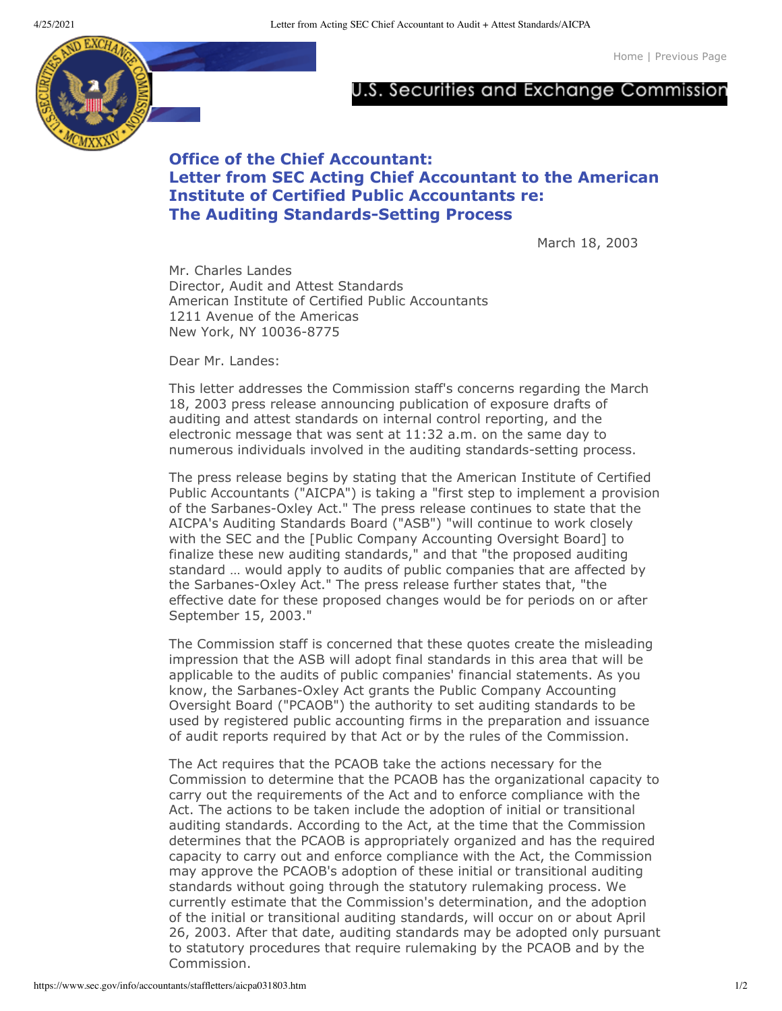[Home](https://www.sec.gov/index.htm) | [Previous](javascript:history.back()) Page



## U.S. Securities and Exchange Commission

## **Office of the Chief Accountant: Letter from SEC Acting Chief Accountant to the American Institute of Certified Public Accountants re: The Auditing Standards-Setting Process**

March 18, 2003

Mr. Charles Landes Director, Audit and Attest Standards American Institute of Certified Public Accountants 1211 Avenue of the Americas New York, NY 10036-8775

Dear Mr. Landes:

This letter addresses the Commission staff's concerns regarding the March 18, 2003 press release announcing publication of exposure drafts of auditing and attest standards on internal control reporting, and the electronic message that was sent at 11:32 a.m. on the same day to numerous individuals involved in the auditing standards-setting process.

The press release begins by stating that the American Institute of Certified Public Accountants ("AICPA") is taking a "first step to implement a provision of the Sarbanes-Oxley Act." The press release continues to state that the AICPA's Auditing Standards Board ("ASB") "will continue to work closely with the SEC and the [Public Company Accounting Oversight Board] to finalize these new auditing standards," and that "the proposed auditing standard … would apply to audits of public companies that are affected by the Sarbanes-Oxley Act." The press release further states that, "the effective date for these proposed changes would be for periods on or after September 15, 2003."

The Commission staff is concerned that these quotes create the misleading impression that the ASB will adopt final standards in this area that will be applicable to the audits of public companies' financial statements. As you know, the Sarbanes-Oxley Act grants the Public Company Accounting Oversight Board ("PCAOB") the authority to set auditing standards to be used by registered public accounting firms in the preparation and issuance of audit reports required by that Act or by the rules of the Commission.

The Act requires that the PCAOB take the actions necessary for the Commission to determine that the PCAOB has the organizational capacity to carry out the requirements of the Act and to enforce compliance with the Act. The actions to be taken include the adoption of initial or transitional auditing standards. According to the Act, at the time that the Commission determines that the PCAOB is appropriately organized and has the required capacity to carry out and enforce compliance with the Act, the Commission may approve the PCAOB's adoption of these initial or transitional auditing standards without going through the statutory rulemaking process. We currently estimate that the Commission's determination, and the adoption of the initial or transitional auditing standards, will occur on or about April 26, 2003. After that date, auditing standards may be adopted only pursuant to statutory procedures that require rulemaking by the PCAOB and by the Commission.